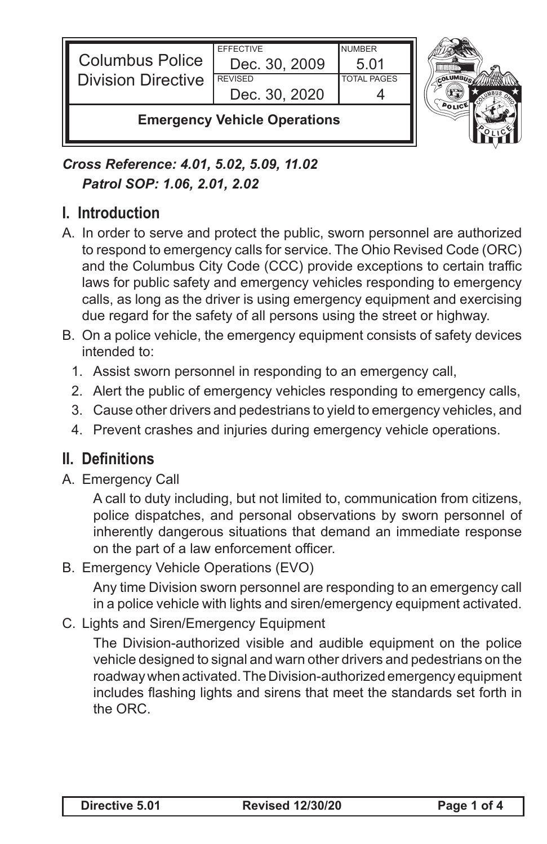

*Cross Reference: 4.01, 5.02, 5.09, 11.02 Patrol SOP: 1.06, 2.01, 2.02*

### **I. Introduction**

- A. In order to serve and protect the public, sworn personnel are authorized to respond to emergency calls for service. The Ohio Revised Code (ORC) and the Columbus City Code (CCC) provide exceptions to certain traffic laws for public safety and emergency vehicles responding to emergency calls, as long as the driver is using emergency equipment and exercising due regard for the safety of all persons using the street or highway.
- B. On a police vehicle, the emergency equipment consists of safety devices intended to:
	- 1. Assist sworn personnel in responding to an emergency call,
	- 2. Alert the public of emergency vehicles responding to emergency calls,
	- 3. Cause other drivers and pedestrians to yield to emergency vehicles, and
	- 4. Prevent crashes and injuries during emergency vehicle operations.

#### **II. Definitions**

A. Emergency Call

A call to duty including, but not limited to, communication from citizens, police dispatches, and personal observations by sworn personnel of inherently dangerous situations that demand an immediate response on the part of a law enforcement officer.

B. Emergency Vehicle Operations (EVO)

Any time Division sworn personnel are responding to an emergency call in a police vehicle with lights and siren/emergency equipment activated.

C. Lights and Siren/Emergency Equipment

The Division-authorized visible and audible equipment on the police vehicle designed to signal and warn other drivers and pedestrians on the roadway when activated. The Division-authorized emergency equipment includes flashing lights and sirens that meet the standards set forth in the ORC.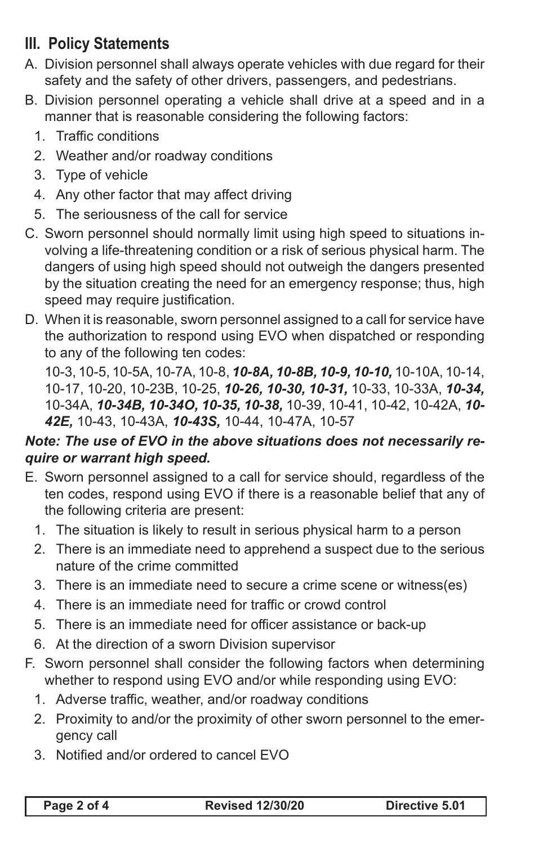# **III. Policy Statements**

- A. Division personnel shall always operate vehicles with due regard for their safety and the safety of other drivers, passengers, and pedestrians.
- B. Division personnel operating a vehicle shall drive at a speed and in a manner that is reasonable considering the following factors:
	- 1. Traffic conditions
	- 2. Weather and/or roadway conditions
	- 3. Type of vehicle
	- 4. Any other factor that may affect driving
	- 5. The seriousness of the call for service
- C. Sworn personnel should normally limit using high speed to situations involving a life-threatening condition or a risk of serious physical harm. The dangers of using high speed should not outweigh the dangers presented by the situation creating the need for an emergency response; thus, high speed may require justification.
- D. When it is reasonable, sworn personnel assigned to a call for service have the authorization to respond using EVO when dispatched or responding to any of the following ten codes:

10-3, 10-5, 10-5A, 10-7A, 10-8, *10-8A, 10-8B, 10-9, 10-10,* 10-10A, 10-14, 10-17, 10-20, 10-23B, 10-25, *10-26, 10-30, 10-31,* 10-33, 10-33A, *10-34,*  10-34A, *10-34B, 10-34O, 10-35, 10-38,* 10-39, 10-41, 10-42, 10-42A, *10- 42E,* 10-43, 10-43A, *10-43S,* 10-44, 10-47A, 10-57

#### *Note: The use of EVO in the above situations does not necessarily require or warrant high speed.*

- E. Sworn personnel assigned to a call for service should, regardless of the ten codes, respond using EVO if there is a reasonable belief that any of the following criteria are present:
	- 1. The situation is likely to result in serious physical harm to a person
	- 2. There is an immediate need to apprehend a suspect due to the serious nature of the crime committed
	- 3. There is an immediate need to secure a crime scene or witness(es)
	- 4. There is an immediate need for traffic or crowd control
	- 5. There is an immediate need for officer assistance or back-up
	- 6. At the direction of a sworn Division supervisor
- F. Sworn personnel shall consider the following factors when determining whether to respond using EVO and/or while responding using EVO:
	- 1. Adverse traffic, weather, and/or roadway conditions
	- 2. Proximity to and/or the proximity of other sworn personnel to the emergency call
	- 3. Notified and/or ordered to cancel EVO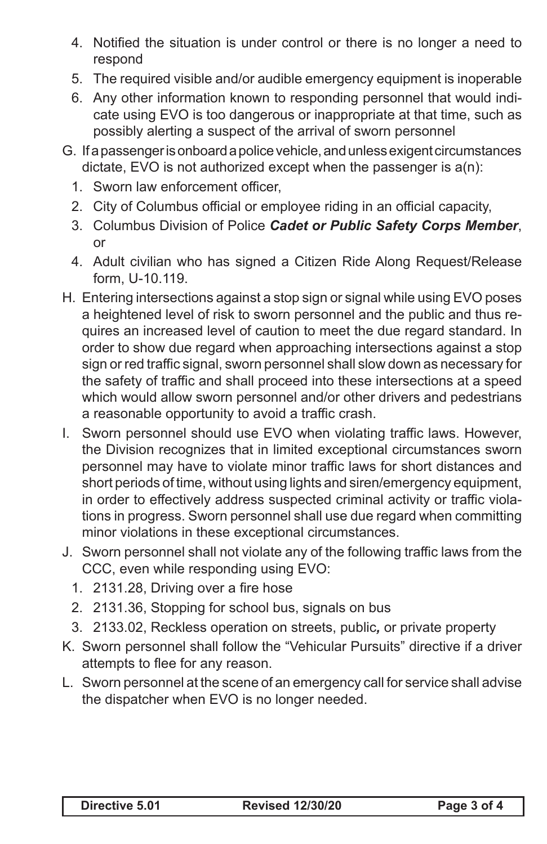- 4. Notified the situation is under control or there is no longer a need to respond
- 5. The required visible and/or audible emergency equipment is inoperable
- 6. Any other information known to responding personnel that would indicate using EVO is too dangerous or inappropriate at that time, such as possibly alerting a suspect of the arrival of sworn personnel
- G. If a passenger is onboard a police vehicle, and unless exigent circumstances dictate, EVO is not authorized except when the passenger is a(n):
	- 1. Sworn law enforcement officer,
	- 2. City of Columbus official or employee riding in an official capacity,
	- 3. Columbus Division of Police *Cadet or Public Safety Corps Member*, or
	- 4. Adult civilian who has signed a Citizen Ride Along Request/Release form, U-10.119.
- H. Entering intersections against a stop sign or signal while using EVO poses a heightened level of risk to sworn personnel and the public and thus requires an increased level of caution to meet the due regard standard. In order to show due regard when approaching intersections against a stop sign or red traffic signal, sworn personnel shall slow down as necessary for the safety of traffic and shall proceed into these intersections at a speed which would allow sworn personnel and/or other drivers and pedestrians a reasonable opportunity to avoid a traffic crash.
- I. Sworn personnel should use EVO when violating traffic laws. However, the Division recognizes that in limited exceptional circumstances sworn personnel may have to violate minor traffic laws for short distances and short periods of time, without using lights and siren/emergency equipment, in order to effectively address suspected criminal activity or traffic violations in progress. Sworn personnel shall use due regard when committing minor violations in these exceptional circumstances.
- J. Sworn personnel shall not violate any of the following traffic laws from the CCC, even while responding using EVO:
	- 1. 2131.28, Driving over a fire hose
	- 2. 2131.36, Stopping for school bus, signals on bus
	- 3. 2133.02, Reckless operation on streets, public*,* or private property
- K. Sworn personnel shall follow the "Vehicular Pursuits" directive if a driver attempts to flee for any reason.
- L. Sworn personnel at the scene of an emergency call for service shall advise the dispatcher when EVO is no longer needed.